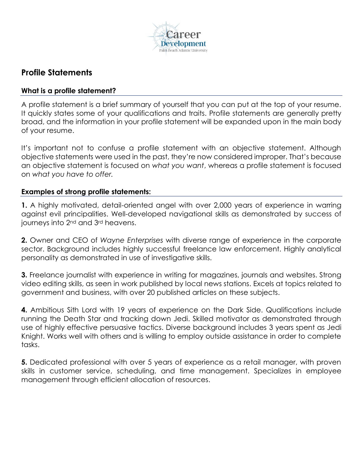

## **Profile Statements**

## **What is a profile statement?**

A profile statement is a brief summary of yourself that you can put at the top of your resume. It quickly states some of your qualifications and traits. Profile statements are generally pretty broad, and the information in your profile statement will be expanded upon in the main body of your resume.

It's important not to confuse a profile statement with an objective statement. Although objective statements were used in the past, they're now considered improper. That's because an objective statement is focused on *what you want*, whereas a profile statement is focused on *what you have to offer.*

## **Examples of strong profile statements:**

**1.** A highly motivated, detail-oriented angel with over 2,000 years of experience in warring against evil principalities. Well-developed navigational skills as demonstrated by success of journeys into 2<sup>nd</sup> and 3<sup>rd</sup> heavens.

**2.** Owner and CEO of *Wayne Enterprises* with diverse range of experience in the corporate sector. Background includes highly successful freelance law enforcement. Highly analytical personality as demonstrated in use of investigative skills.

**3.** Freelance journalist with experience in writing for magazines, journals and websites. Strong video editing skills, as seen in work published by local news stations. Excels at topics related to government and business, with over 20 published articles on these subjects.

**4.** Ambitious Sith Lord with 19 years of experience on the Dark Side. Qualifications include running the Death Star and tracking down Jedi. Skilled motivator as demonstrated through use of highly effective persuasive tactics. Diverse background includes 3 years spent as Jedi Knight. Works well with others and is willing to employ outside assistance in order to complete tasks.

**5.** Dedicated professional with over 5 years of experience as a retail manager, with proven skills in customer service, scheduling, and time management. Specializes in employee management through efficient allocation of resources.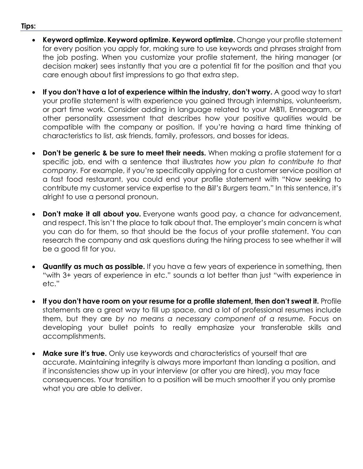- **Keyword optimize. Keyword optimize. Keyword optimize.** Change your profile statement for every position you apply for, making sure to use keywords and phrases straight from the job posting. When you customize your profile statement, the hiring manager (or decision maker) sees instantly that you are a potential fit for the position and that you care enough about first impressions to go that extra step.
- **If you don't have a lot of experience within the industry, don't worry.** A good way to start your profile statement is with experience you gained through internships, volunteerism, or part time work. Consider adding in language related to your MBTI, Enneagram, or other personality assessment that describes how your positive qualities would be compatible with the company or position. If you're having a hard time thinking of characteristics to list, ask friends, family, professors, and bosses for ideas.
- **Don't be generic & be sure to meet their needs.** When making a profile statement for a specific job, end with a sentence that illustrates *how you plan to contribute to that company.* For example, if you're specifically applying for a customer service position at a fast food restaurant, you could end your profile statement with "Now seeking to contribute my customer service expertise to the *Bill's Burgers* team." In this sentence, it's alright to use a personal pronoun.
- **Don't make it all about you.** Everyone wants good pay, a chance for advancement, and respect. This isn't the place to talk about that. The employer's main concern is what you can do for them, so that should be the focus of your profile statement. You can research the company and ask questions during the hiring process to see whether it will be a good fit for you.
- **Quantify as much as possible.** If you have a few years of experience in something, then "with 3+ years of experience in etc." sounds a lot better than just "with experience in etc."
- **If you don't have room on your resume for a profile statement, then don't sweat it.** Profile statements are a great way to fill up space, and a lot of professional resumes include them, but they are *by no means a necessary component of a resume.* Focus on developing your bullet points to really emphasize your transferable skills and accomplishments.
- **Make sure it's true.** Only use keywords and characteristics of yourself that are accurate. Maintaining integrity is always more important than landing a position, and if inconsistencies show up in your interview (or after you are hired), you may face consequences. Your transition to a position will be much smoother if you only promise what you are able to deliver.